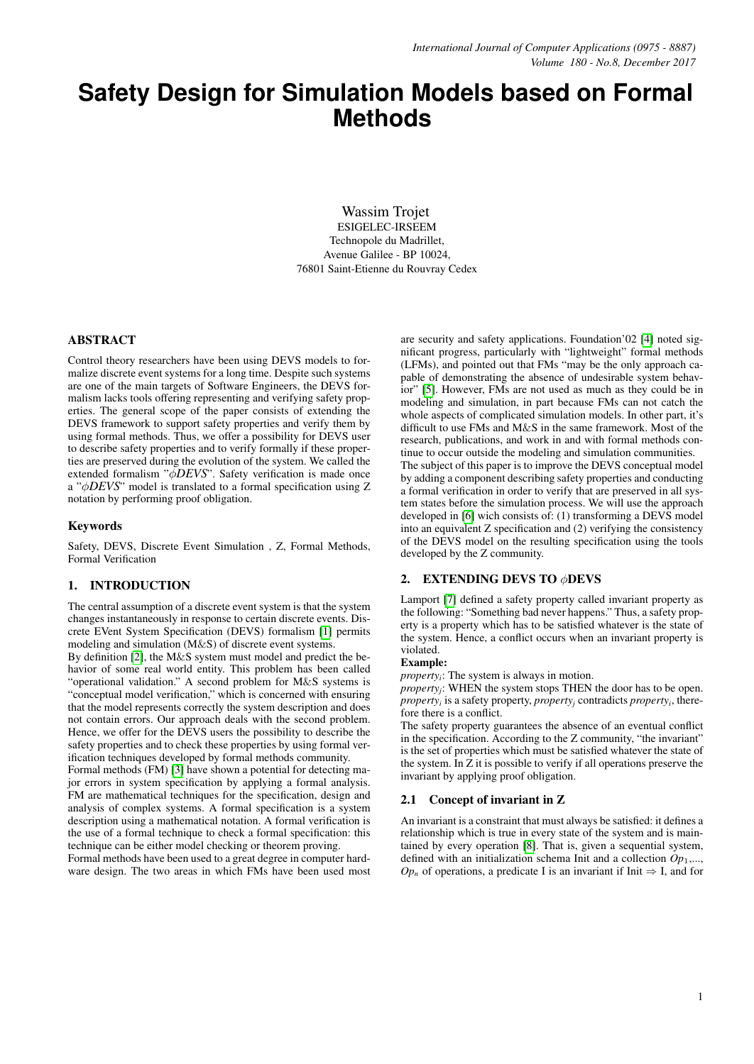# **Safety Design for Simulation Models based on Formal Methods**

Wassim Trojet ESIGELEC-IRSEEM Technopole du Madrillet, Avenue Galilee - BP 10024, 76801 Saint-Etienne du Rouvray Cedex

#### ABSTRACT

Control theory researchers have been using DEVS models to formalize discrete event systems for a long time. Despite such systems are one of the main targets of Software Engineers, the DEVS formalism lacks tools offering representing and verifying safety properties. The general scope of the paper consists of extending the DEVS framework to support safety properties and verify them by using formal methods. Thus, we offer a possibility for DEVS user to describe safety properties and to verify formally if these properties are preserved during the evolution of the system. We called the extended formalism "φ*DEVS*". Safety verification is made once a "φ*DEVS*" model is translated to a formal specification using Z notation by performing proof obligation.

#### Keywords

Safety, DEVS, Discrete Event Simulation , Z, Formal Methods, Formal Verification

# 1. INTRODUCTION

The central assumption of a discrete event system is that the system changes instantaneously in response to certain discrete events. Discrete EVent System Specification (DEVS) formalism [\[1\]](#page-3-0) permits modeling and simulation (M&S) of discrete event systems.

By definition [\[2\]](#page-3-1), the M&S system must model and predict the behavior of some real world entity. This problem has been called "operational validation." A second problem for M&S systems is "conceptual model verification," which is concerned with ensuring that the model represents correctly the system description and does not contain errors. Our approach deals with the second problem. Hence, we offer for the DEVS users the possibility to describe the safety properties and to check these properties by using formal verification techniques developed by formal methods community.

Formal methods (FM) [\[3\]](#page-3-2) have shown a potential for detecting major errors in system specification by applying a formal analysis. FM are mathematical techniques for the specification, design and analysis of complex systems. A formal specification is a system description using a mathematical notation. A formal verification is the use of a formal technique to check a formal specification: this technique can be either model checking or theorem proving.

Formal methods have been used to a great degree in computer hardware design. The two areas in which FMs have been used most

are security and safety applications. Foundation'02 [\[4\]](#page-3-3) noted significant progress, particularly with "lightweight" formal methods (LFMs), and pointed out that FMs "may be the only approach capable of demonstrating the absence of undesirable system behavior" [\[5\]](#page-3-4). However, FMs are not used as much as they could be in modeling and simulation, in part because FMs can not catch the whole aspects of complicated simulation models. In other part, it's difficult to use FMs and M&S in the same framework. Most of the research, publications, and work in and with formal methods continue to occur outside the modeling and simulation communities. The subject of this paper is to improve the DEVS conceptual model by adding a component describing safety properties and conducting a formal verification in order to verify that are preserved in all system states before the simulation process. We will use the approach developed in [\[6\]](#page-4-0) wich consists of: (1) transforming a DEVS model into an equivalent Z specification and (2) verifying the consistency of the DEVS model on the resulting specification using the tools developed by the Z community.

# 2. EXTENDING DEVS TO φDEVS

Lamport [\[7\]](#page-4-1) defined a safety property called invariant property as the following: "Something bad never happens." Thus, a safety property is a property which has to be satisfied whatever is the state of the system. Hence, a conflict occurs when an invariant property is violated.

#### Example:

*property<sup>i</sup>* : The system is always in motion.

*property<sup>j</sup>* : WHEN the system stops THEN the door has to be open. *property<sup>i</sup>* is a safety property, *property<sup>j</sup>* contradicts *property<sup>i</sup>* , therefore there is a conflict.

The safety property guarantees the absence of an eventual conflict in the specification. According to the Z community, "the invariant" is the set of properties which must be satisfied whatever the state of the system. In Z it is possible to verify if all operations preserve the invariant by applying proof obligation.

#### 2.1 Concept of invariant in Z

An invariant is a constraint that must always be satisfied: it defines a relationship which is true in every state of the system and is maintained by every operation [\[8\]](#page-4-2). That is, given a sequential system, defined with an initialization schema Init and a collection *Op*1,...,  $Op_n$  of operations, a predicate I is an invariant if Init  $\Rightarrow$  I, and for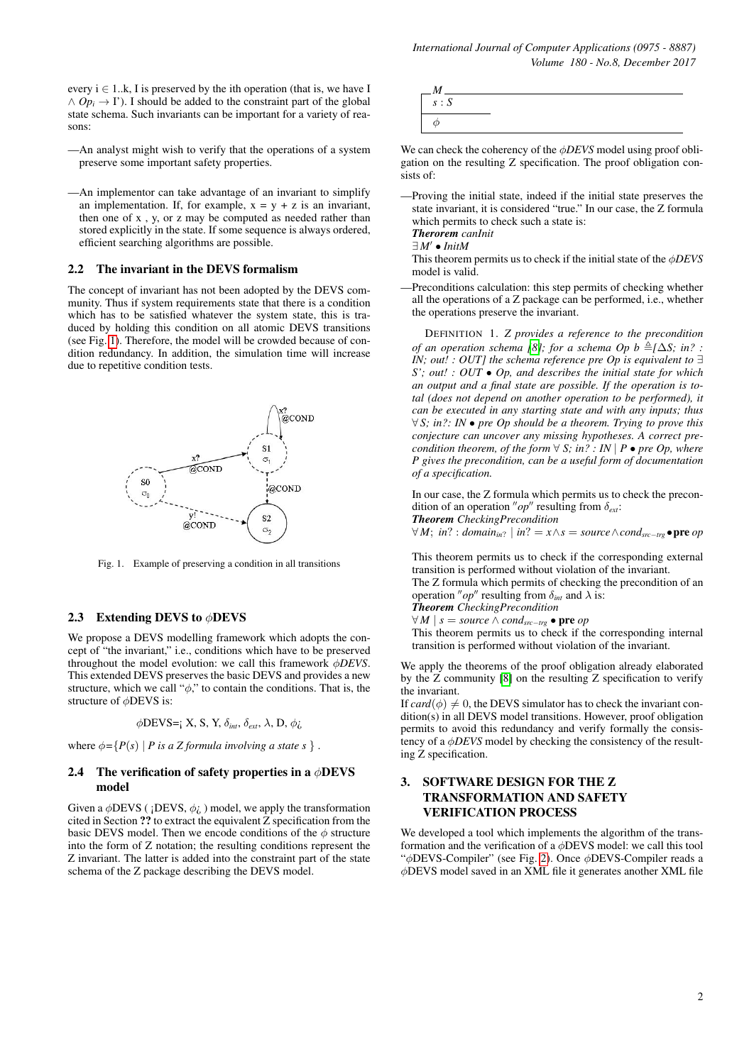every  $i \in 1..k$ , I is preserved by the ith operation (that is, we have I  $\land$  *Op<sub>i</sub>*  $\rightarrow$  I'). I should be added to the constraint part of the global state schema. Such invariants can be important for a variety of reasons:

- —An analyst might wish to verify that the operations of a system preserve some important safety properties.
- —An implementor can take advantage of an invariant to simplify an implementation. If, for example,  $x = y + z$  is an invariant, then one of x , y, or z may be computed as needed rather than stored explicitly in the state. If some sequence is always ordered, efficient searching algorithms are possible.

#### 2.2 The invariant in the DEVS formalism

The concept of invariant has not been adopted by the DEVS community. Thus if system requirements state that there is a condition which has to be satisfied whatever the system state, this is traduced by holding this condition on all atomic DEVS transitions (see Fig. [1\)](#page-1-0). Therefore, the model will be crowded because of condition redundancy. In addition, the simulation time will increase due to repetitive condition tests.



<span id="page-1-0"></span>Fig. 1. Example of preserving a condition in all transitions

# 2.3 Extending DEVS to  $\phi$ DEVS

We propose a DEVS modelling framework which adopts the concept of "the invariant," i.e., conditions which have to be preserved throughout the model evolution: we call this framework φ*DEVS*. This extended DEVS preserves the basic DEVS and provides a new structure, which we call " $\phi$ ," to contain the conditions. That is, the structure of φDEVS is:

$$
\phi
$$
DEVS= $_{\mathbf{i}} \mathbf{X}, \mathbf{S}, \mathbf{Y}, \delta_{\text{int}}, \delta_{\text{ext}}, \lambda, \mathbf{D}, \phi_{\mathbf{G}}$ 

where  $\phi = \{P(s) \mid P \text{ is a } Z \text{ formula involving a state } s \}.$ 

#### 2.4 The verification of safety properties in a  $\phi$ DEVS model

Given a  $\phi$ DEVS ( ¡DEVS,  $\phi$ <sub>*i*</sub>, ) model, we apply the transformation cited in Section ?? to extract the equivalent Z specification from the basic DEVS model. Then we encode conditions of the  $\phi$  structure into the form of Z notation; the resulting conditions represent the Z invariant. The latter is added into the constraint part of the state schema of the Z package describing the DEVS model.



We can check the coherency of the φ*DEVS* model using proof obligation on the resulting Z specification. The proof obligation consists of:

—Proving the initial state, indeed if the initial state preserves the state invariant, it is considered "true." In our case, the Z formula which permits to check such a state is:

*Therorem canInit*  $\exists M' \bullet InitM$ 

This theorem permits us to check if the initial state of the φ*DEVS* model is valid.

—Preconditions calculation: this step permits of checking whether all the operations of a Z package can be performed, i.e., whether the operations preserve the invariant.

DEFINITION 1. *Z provides a reference to the precondition of an operation schema [\[8\]](#page-4-2); for a schema Op b*  $\triangleq$ [ $\triangle$ S; *in?* : *IN; out! : OUT] the schema reference pre Op is equivalent to* ∃ *S'; out! : OUT* • *Op, and describes the initial state for which an output and a final state are possible. If the operation is total (does not depend on another operation to be performed), it can be executed in any starting state and with any inputs; thus* ∀ *S; in?: IN* • *pre Op should be a theorem. Trying to prove this conjecture can uncover any missing hypotheses. A correct precondition theorem, of the form*  $\forall$  *S*; *in?* : *IN* | *P* • *pre Op, where P gives the precondition, can be a useful form of documentation of a specification.*

In our case, the Z formula which permits us to check the precondition of an operation " $op$ " resulting from  $\delta_{ext}$ :

*Theorem CheckingPrecondition*

∀*M*; *in*? : *domain*<sub>*in*?</sub> | *in*? = *x*∧*s* = *source* ∧*cond<sub>src−trg</sub>* • pre *op* 

This theorem permits us to check if the corresponding external transition is performed without violation of the invariant.

The Z formula which permits of checking the precondition of an operation "*op*" resulting from  $\delta_{int}$  and  $\lambda$  is:

*Theorem CheckingPrecondition*

 $\forall M \mid s = source \land cond_{src - trg}$  • pre *op* This theorem permits us to check if the corresponding internal transition is performed without violation of the invariant.

We apply the theorems of the proof obligation already elaborated by the Z community [\[8\]](#page-4-2) on the resulting Z specification to verify the invariant.

If  $card(\phi) \neq 0$ , the DEVS simulator has to check the invariant condition(s) in all DEVS model transitions. However, proof obligation permits to avoid this redundancy and verify formally the consistency of a φ*DEVS* model by checking the consistency of the resulting Z specification.

# 3. SOFTWARE DESIGN FOR THE Z TRANSFORMATION AND SAFETY VERIFICATION PROCESS

We developed a tool which implements the algorithm of the transformation and the verification of a  $\phi$ DEVS model: we call this tool "φDEVS-Compiler" (see Fig. [2\)](#page-2-0). Once φDEVS-Compiler reads a φDEVS model saved in an XML file it generates another XML file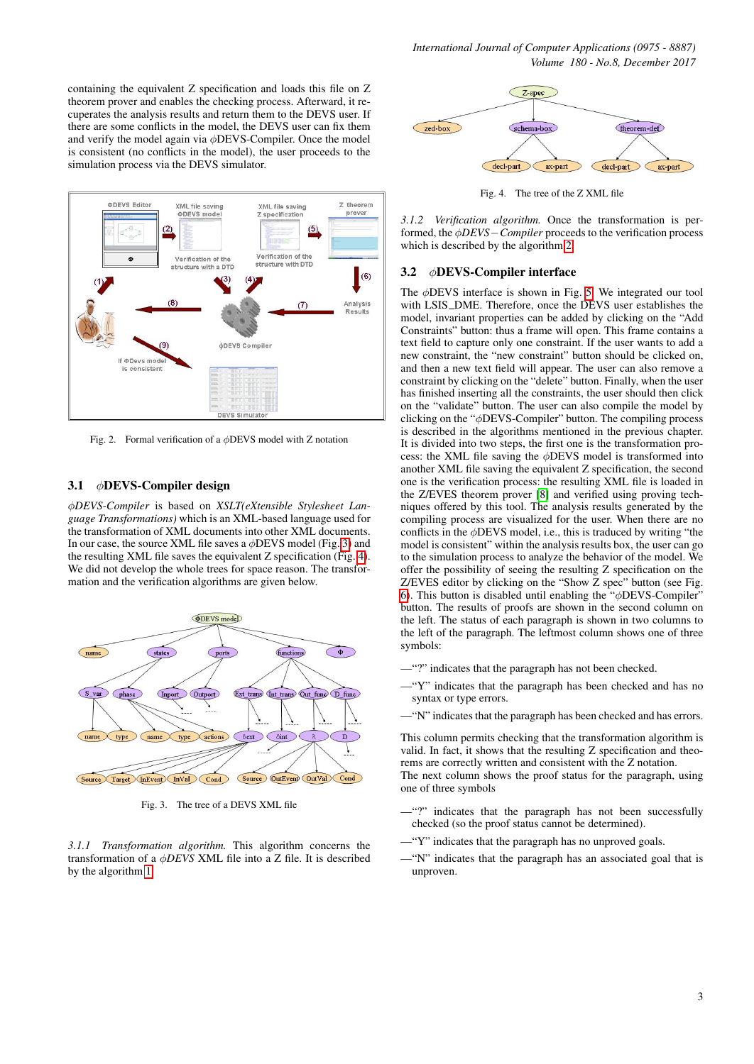containing the equivalent Z specification and loads this file on Z theorem prover and enables the checking process. Afterward, it recuperates the analysis results and return them to the DEVS user. If there are some conflicts in the model, the DEVS user can fix them and verify the model again via φDEVS-Compiler. Once the model is consistent (no conflicts in the model), the user proceeds to the simulation process via the DEVS simulator.



<span id="page-2-0"></span>Fig. 2. Formal verification of a  $\phi$ DEVS model with Z notation

# 3.1 φDEVS-Compiler design

φ*DEVS-Compiler* is based on *XSLT(eXtensible Stylesheet Language Transformations)* which is an XML-based language used for the transformation of XML documents into other XML documents. In our case, the source XML file saves a  $\phi$ DEVS model (Fig. [3\)](#page-2-1) and the resulting XML file saves the equivalent Z specification (Fig. [4\)](#page-2-2). We did not develop the whole trees for space reason. The transformation and the verification algorithms are given below.



<span id="page-2-1"></span>Fig. 3. The tree of a DEVS XML file

*3.1.1 Transformation algorithm.* This algorithm concerns the transformation of a φ*DEVS* XML file into a Z file. It is described by the algorithm [1.](#page-4-3)



<span id="page-2-2"></span>Fig. 4. The tree of the Z XML file

*3.1.2 Verification algorithm.* Once the transformation is performed, the φ*DEVS*−*Compiler* proceeds to the verification process which is described by the algorithm [2.](#page-4-4)

#### 3.2 φDEVS-Compiler interface

The  $\phi$ DEVS interface is shown in Fig. [5.](#page-3-5) We integrated our tool with LSIS\_DME. Therefore, once the DEVS user establishes the model, invariant properties can be added by clicking on the "Add Constraints" button: thus a frame will open. This frame contains a text field to capture only one constraint. If the user wants to add a new constraint, the "new constraint" button should be clicked on, and then a new text field will appear. The user can also remove a constraint by clicking on the "delete" button. Finally, when the user has finished inserting all the constraints, the user should then click on the "validate" button. The user can also compile the model by clicking on the "φDEVS-Compiler" button. The compiling process is described in the algorithms mentioned in the previous chapter. It is divided into two steps, the first one is the transformation process: the XML file saving the  $\phi$ DEVS model is transformed into another XML file saving the equivalent Z specification, the second one is the verification process: the resulting XML file is loaded in the Z/EVES theorem prover [\[8\]](#page-4-2) and verified using proving techniques offered by this tool. The analysis results generated by the compiling process are visualized for the user. When there are no conflicts in the  $\phi$ DEVS model, i.e., this is traduced by writing "the model is consistent" within the analysis results box, the user can go to the simulation process to analyze the behavior of the model. We offer the possibility of seeing the resulting Z specification on the Z/EVES editor by clicking on the "Show Z spec" button (see Fig. [6\)](#page-3-6). This button is disabled until enabling the " $\phi$ DEVS-Compiler" button. The results of proofs are shown in the second column on the left. The status of each paragraph is shown in two columns to the left of the paragraph. The leftmost column shows one of three symbols:

- —"?" indicates that the paragraph has not been checked.
- —"Y" indicates that the paragraph has been checked and has no syntax or type errors.
- —"N" indicates that the paragraph has been checked and has errors.

This column permits checking that the transformation algorithm is valid. In fact, it shows that the resulting Z specification and theorems are correctly written and consistent with the Z notation. The next column shows the proof status for the paragraph, using one of three symbols

- —"?" indicates that the paragraph has not been successfully checked (so the proof status cannot be determined).
- —"Y" indicates that the paragraph has no unproved goals.
- —"N" indicates that the paragraph has an associated goal that is unproven.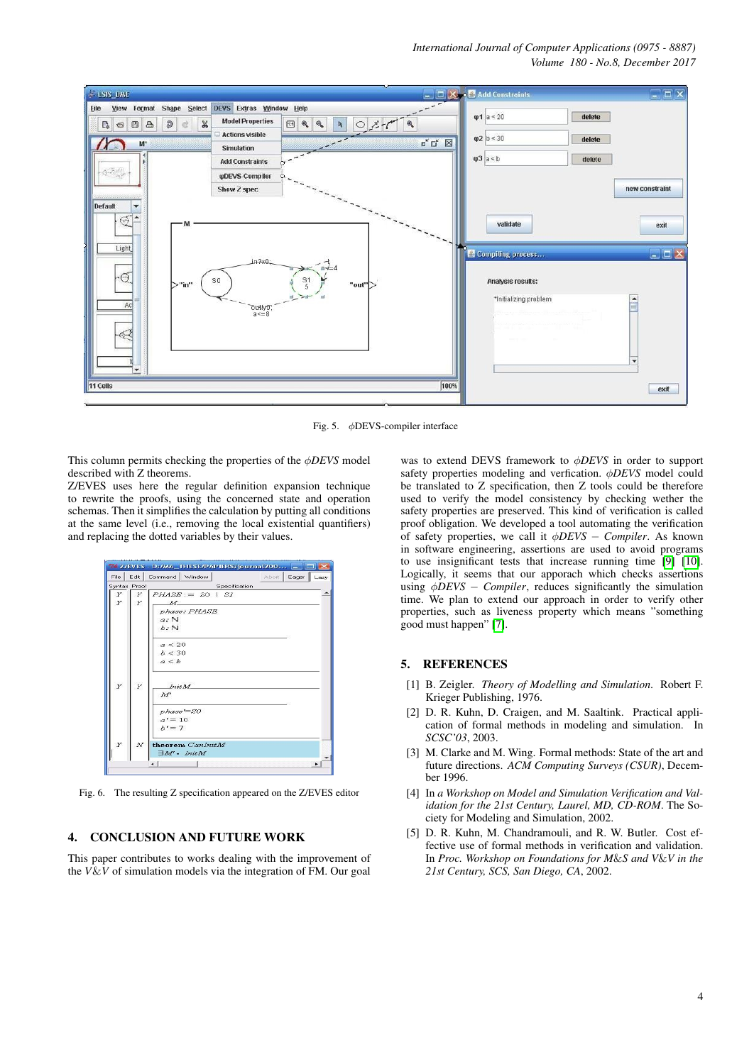# *International Journal of Computer Applications (0975 - 8887) Volume 180 - No.8, December 2017*



<span id="page-3-5"></span>Fig. 5. φDEVS-compiler interface

This column permits checking the properties of the φ*DEVS* model described with Z theorems.

Z/EVES uses here the regular definition expansion technique to rewrite the proofs, using the concerned state and operation schemas. Then it simplifies the calculation by putting all conditions at the same level (i.e., removing the local existential quantifiers) and replacing the dotted variables by their values.

|   | Syntax Proof | Abort Eager Lazy<br>Specification                    |  |
|---|--------------|------------------------------------------------------|--|
| Υ | Y            | $PHASE ::=$ SO   SI                                  |  |
| Y | Y            | $\overline{M}$                                       |  |
|   |              |                                                      |  |
|   |              | phase: PHASE                                         |  |
|   |              | $a: \mathbb{N}$                                      |  |
|   |              | $b:\mathbb{N}$                                       |  |
|   |              | a < 20                                               |  |
|   |              | b < 30                                               |  |
|   |              | a < b                                                |  |
| Y | Y            | Init M_<br>M<br>phase'=S0<br>$a' = 10$               |  |
|   |              | $b' = 7$                                             |  |
| Υ | N            | theorem CanlnitM<br>$\exists M \cdot \textit{InitM}$ |  |

<span id="page-3-6"></span>Fig. 6. The resulting Z specification appeared on the Z/EVES editor

# 4. CONCLUSION AND FUTURE WORK

This paper contributes to works dealing with the improvement of the *V*&*V* of simulation models via the integration of FM. Our goal

was to extend DEVS framework to φ*DEVS* in order to support safety properties modeling and verfication. φ*DEVS* model could be translated to Z specification, then Z tools could be therefore used to verify the model consistency by checking wether the safety properties are preserved. This kind of verification is called proof obligation. We developed a tool automating the verification of safety properties, we call it φ*DEVS* − *Compiler*. As known in software engineering, assertions are used to avoid programs to use insignificant tests that increase running time [\[9\]](#page-4-5) [\[10\]](#page-4-6). Logically, it seems that our apporach which checks assertions using φ*DEVS* − *Compiler*, reduces significantly the simulation time. We plan to extend our approach in order to verify other properties, such as liveness property which means "something good must happen" [\[7\]](#page-4-1).

#### 5. REFERENCES

- <span id="page-3-0"></span>[1] B. Zeigler. *Theory of Modelling and Simulation*. Robert F. Krieger Publishing, 1976.
- <span id="page-3-1"></span>[2] D. R. Kuhn, D. Craigen, and M. Saaltink. Practical application of formal methods in modeling and simulation. In *SCSC'03*, 2003.
- <span id="page-3-2"></span>[3] M. Clarke and M. Wing. Formal methods: State of the art and future directions. *ACM Computing Surveys (CSUR)*, December 1996.
- <span id="page-3-3"></span>[4] In *a Workshop on Model and Simulation Verification and Validation for the 21st Century, Laurel, MD, CD-ROM*. The Society for Modeling and Simulation, 2002.
- <span id="page-3-4"></span>[5] D. R. Kuhn, M. Chandramouli, and R. W. Butler. Cost effective use of formal methods in verification and validation. In *Proc. Workshop on Foundations for M*&*S and V*&*V in the 21st Century, SCS, San Diego, CA*, 2002.